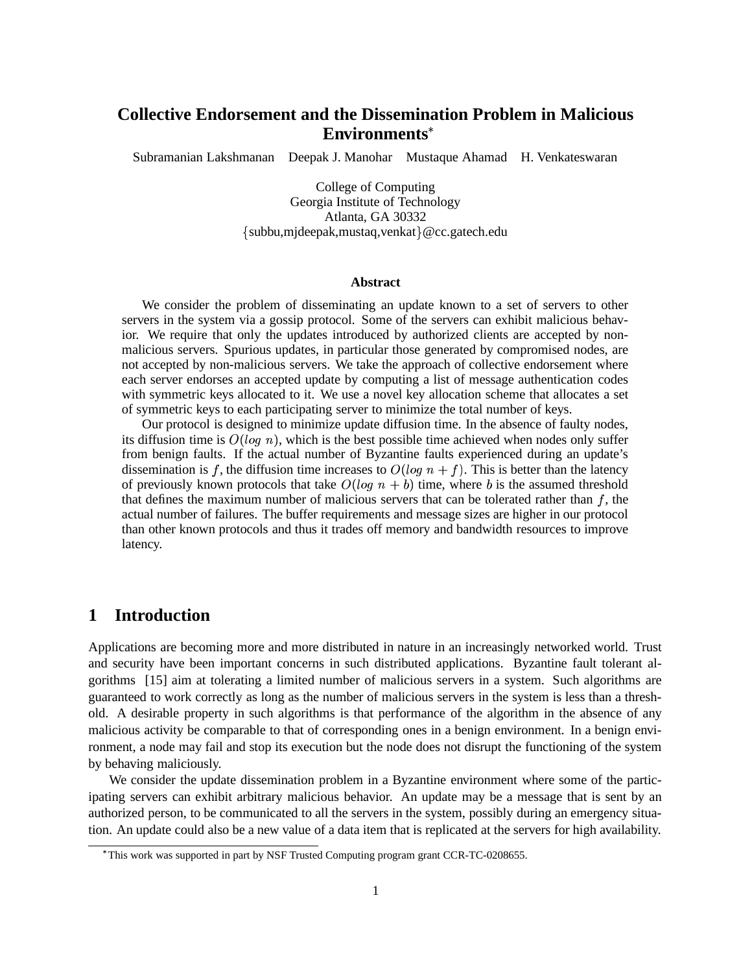# **Collective Endorsement and the Dissemination Problem in Malicious Environments**

Subramanian Lakshmanan Deepak J. Manohar Mustaque Ahamad H. Venkateswaran

College of Computing Georgia Institute of Technology Atlanta, GA 30332  $\{\text{subbu}, \text{m} \}$  deepak, mustaq, venkat $\}$  @cc.gatech.edu

#### **Abstract**

We consider the problem of disseminating an update known to a set of servers to other servers in the system via a gossip protocol. Some of the servers can exhibit malicious behavior. We require that only the updates introduced by authorized clients are accepted by nonmalicious servers. Spurious updates, in particular those generated by compromised nodes, are not accepted by non-malicious servers. We take the approach of collective endorsement where each server endorses an accepted update by computing a list of message authentication codes with symmetric keys allocated to it. We use a novel key allocation scheme that allocates a set of symmetric keys to each participating server to minimize the total number of keys.

Our protocol is designed to minimize update diffusion time. In the absence of faulty nodes, its diffusion time is  $O(log n)$ , which is the best possible time achieved when nodes only suffer from benign faults. If the actual number of Byzantine faults experienced during an update's dissemination is f, the diffusion time increases to  $O(log n + f)$ . This is better than the latency of previously known protocols that take  $O(log n + b)$  time, where b is the assumed threshold that defines the maximum number of malicious servers that can be tolerated rather than  $f$ , the actual number of failures. The buffer requirements and message sizes are higher in our protocol than other known protocols and thus it trades off memory and bandwidth resources to improve latency.

# **1 Introduction**

Applications are becoming more and more distributed in nature in an increasingly networked world. Trust and security have been important concerns in such distributed applications. Byzantine fault tolerant algorithms [15] aim at tolerating a limited number of malicious servers in a system. Such algorithms are guaranteed to work correctly as long as the number of malicious servers in the system is less than a threshold. A desirable property in such algorithms is that performance of the algorithm in the absence of any malicious activity be comparable to that of corresponding ones in a benign environment. In a benign environment, a node may fail and stop its execution but the node does not disrupt the functioning of the system by behaving maliciously.

We consider the update dissemination problem in a Byzantine environment where some of the participating servers can exhibit arbitrary malicious behavior. An update may be a message that is sent by an authorized person, to be communicated to all the servers in the system, possibly during an emergency situation. An update could also be a new value of a data item that is replicated at the servers for high availability.

This work was supported in part by NSF Trusted Computing program grant CCR-TC-0208655.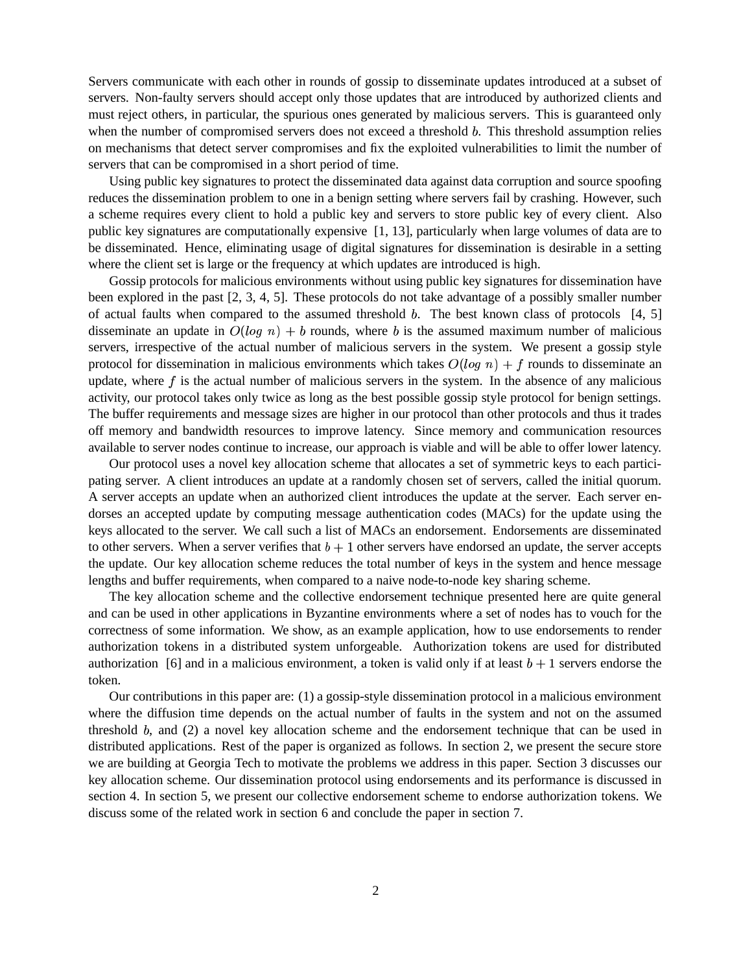Servers communicate with each other in rounds of gossip to disseminate updates introduced at a subset of servers. Non-faulty servers should accept only those updates that are introduced by authorized clients and must reject others, in particular, the spurious ones generated by malicious servers. This is guaranteed only when the number of compromised servers does not exceed a threshold  $b$ . This threshold assumption relies on mechanisms that detect server compromises and fix the exploited vulnerabilities to limit the number of servers that can be compromised in a short period of time.

Using public key signatures to protect the disseminated data against data corruption and source spoofing reduces the dissemination problem to one in a benign setting where servers fail by crashing. However, such a scheme requires every client to hold a public key and servers to store public key of every client. Also public key signatures are computationally expensive [1, 13], particularly when large volumes of data are to be disseminated. Hence, eliminating usage of digital signatures for dissemination is desirable in a setting where the client set is large or the frequency at which updates are introduced is high.

Gossip protocols for malicious environments without using public key signatures for dissemination have been explored in the past [2, 3, 4, 5]. These protocols do not take advantage of a possibly smaller number of actual faults when compared to the assumed threshold  $b$ . The best known class of protocols  $[4, 5]$ disseminate an update in  $O(log n) + b$  rounds, where b is the assumed maximum number of malicious servers, irrespective of the actual number of malicious servers in the system. We present a gossip style protocol for dissemination in malicious environments which takes  $O(log n) + f$  rounds to disseminate an update, where  $f$  is the actual number of malicious servers in the system. In the absence of any malicious activity, our protocol takes only twice as long as the best possible gossip style protocol for benign settings. The buffer requirements and message sizes are higher in our protocol than other protocols and thus it trades off memory and bandwidth resources to improve latency. Since memory and communication resources available to server nodes continue to increase, our approach is viable and will be able to offer lower latency.

Our protocol uses a novel key allocation scheme that allocates a set of symmetric keys to each participating server. A client introduces an update at a randomly chosen set of servers, called the initial quorum. A server accepts an update when an authorized client introduces the update at the server. Each server endorses an accepted update by computing message authentication codes (MACs) for the update using the keys allocated to the server. We call such a list of MACs an endorsement. Endorsements are disseminated to other servers. When a server verifies that  $b + 1$  other servers have endorsed an update, the server accepts the update. Our key allocation scheme reduces the total number of keys in the system and hence message lengths and buffer requirements, when compared to a naive node-to-node key sharing scheme.

The key allocation scheme and the collective endorsement technique presented here are quite general and can be used in other applications in Byzantine environments where a set of nodes has to vouch for the correctness of some information. We show, as an example application, how to use endorsements to render authorization tokens in a distributed system unforgeable. Authorization tokens are used for distributed authorization [6] and in a malicious environment, a token is valid only if at least  $b + 1$  servers endorse the token.

Our contributions in this paper are: (1) a gossip-style dissemination protocol in a malicious environment where the diffusion time depends on the actual number of faults in the system and not on the assumed threshold  $b$ , and  $(2)$  a novel key allocation scheme and the endorsement technique that can be used in distributed applications. Rest of the paper is organized as follows. In section 2, we present the secure store we are building at Georgia Tech to motivate the problems we address in this paper. Section 3 discusses our key allocation scheme. Our dissemination protocol using endorsements and its performance is discussed in section 4. In section 5, we present our collective endorsement scheme to endorse authorization tokens. We discuss some of the related work in section 6 and conclude the paper in section 7.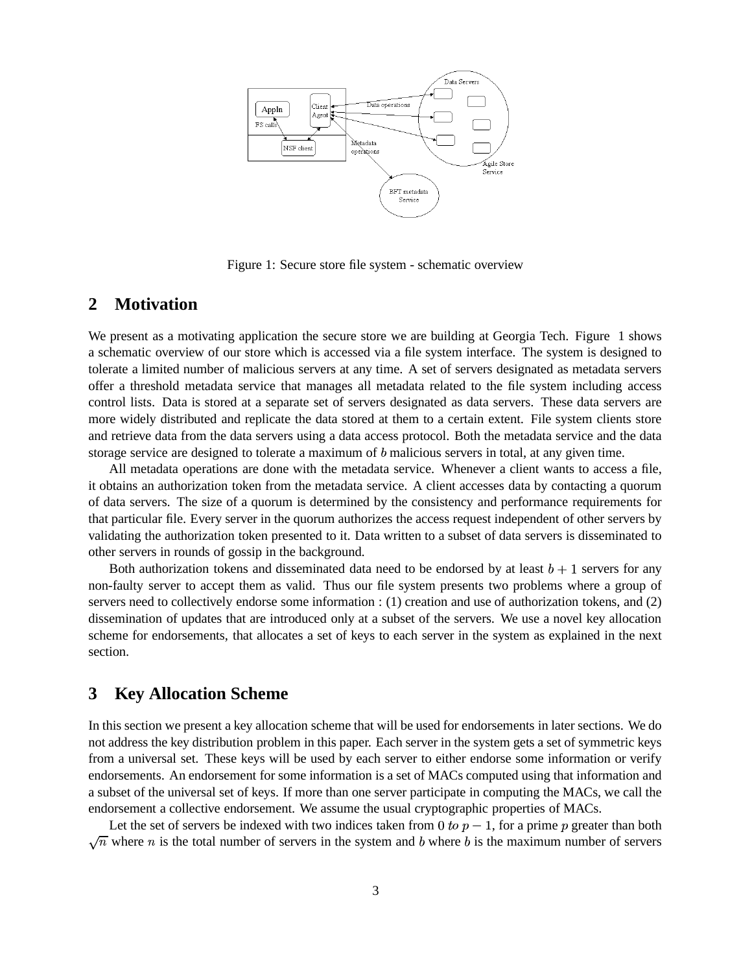

Figure 1: Secure store file system - schematic overview

# **2 Motivation**

We present as a motivating application the secure store we are building at Georgia Tech. Figure 1 shows a schematic overview of our store which is accessed via a file system interface. The system is designed to tolerate a limited number of malicious servers at any time. A set of servers designated as metadata servers offer a threshold metadata service that manages all metadata related to the file system including access control lists. Data is stored at a separate set of servers designated as data servers. These data servers are more widely distributed and replicate the data stored at them to a certain extent. File system clients store and retrieve data from the data servers using a data access protocol. Both the metadata service and the data storage service are designed to tolerate a maximum of  $b$  malicious servers in total, at any given time.

All metadata operations are done with the metadata service. Whenever a client wants to access a file, it obtains an authorization token from the metadata service. A client accesses data by contacting a quorum of data servers. The size of a quorum is determined by the consistency and performance requirements for that particular file. Every server in the quorum authorizes the access request independent of other servers by validating the authorization token presented to it. Data written to a subset of data servers is disseminated to other servers in rounds of gossip in the background.

Both authorization tokens and disseminated data need to be endorsed by at least  $b + 1$  servers for any non-faulty server to accept them as valid. Thus our file system presents two problems where a group of servers need to collectively endorse some information : (1) creation and use of authorization tokens, and (2) dissemination of updates that are introduced only at a subset of the servers. We use a novel key allocation scheme for endorsements, that allocates a set of keys to each server in the system as explained in the next section.

# **3 Key Allocation Scheme**

In this section we present a key allocation scheme that will be used for endorsements in later sections. We do not address the key distribution problem in this paper. Each server in the system gets a set of symmetric keys from a universal set. These keys will be used by each server to either endorse some information or verify endorsements. An endorsement for some information is a set of MACs computed using that information and a subset of the universal set of keys. If more than one server participate in computing the MACs, we call the endorsement a collective endorsement. We assume the usual cryptographic properties of MACs.

Let the set of servers be indexed with two indices taken from 0 to  $p-1$ , for a prime p greater than both  $\sqrt{n}$  where *n* is the total number of servers in the system and *b* where *b* is the maximum number of servers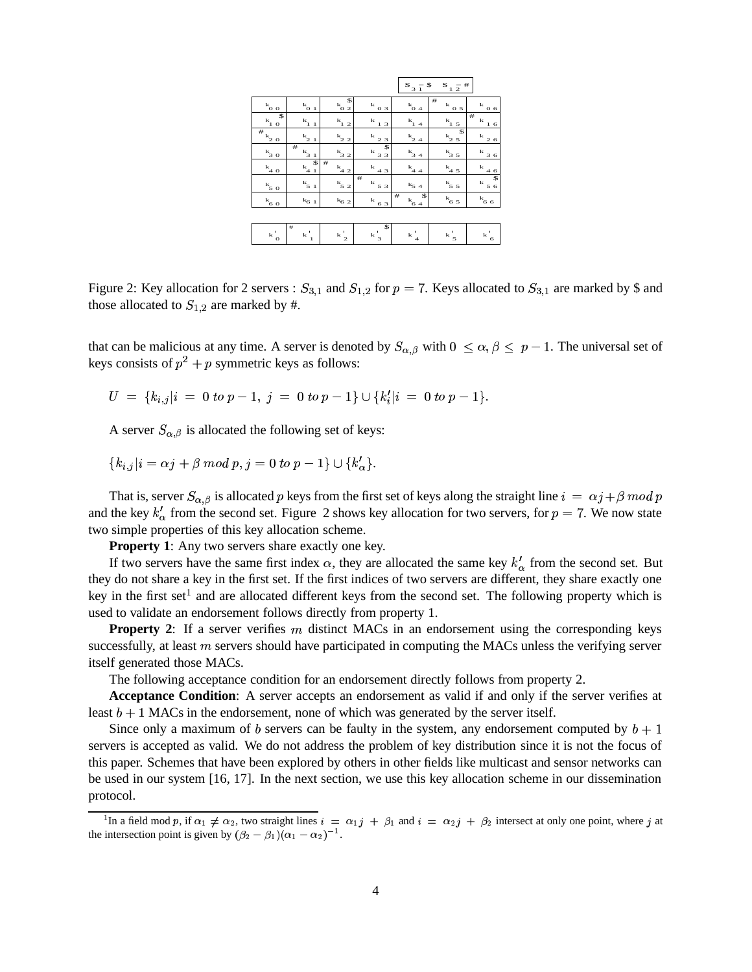|                                                   |                                                          |                               |                                    | $S_3 - S_3$                                 | S $_1$ $_2^{-}$ # $\,$         |                                 |
|---------------------------------------------------|----------------------------------------------------------|-------------------------------|------------------------------------|---------------------------------------------|--------------------------------|---------------------------------|
| $\mathbf{k}_{\underline{0}\;\underline{0}}$       | $^{\mathrm{k}}$ o $_{1}$                                 | \$<br>$k_0$ $\frac{1}{2}$     | $\kappa_{\underline{0.3}}$         | $k_{04}$                                    | #<br>k<br>0 <sub>5</sub>       | $^{\mathrm{k}}$ <u>0.6</u>      |
| \$<br>$\mathbf{k}_{\underline{1}\;\underline{0}}$ | $\mathbf{k}_{\underline{1}\,\underline{1}}$              | $k_{1,2}$                     | $k_{12}$                           | $\mathbf{k}_{\underline{1}\,\underline{4}}$ | $k_{1.5}$                      | $^{\rm \#}$<br>k<br>$1\,$ $6\,$ |
| $\bar{\mathbf{r}}_{\mathbf{k}_{20}}$              | $\mathbf{k}_{2\_1}$                                      | $k_{2,2}$                     | $\frac{k}{2.3}$                    | $k_{24}$                                    | \$<br>$k_{25}$                 | k<br>26                         |
| $\frac{k_{3.0}}{2}$                               | $^{\rm \#}$<br>$\mathbf{k}_{\underline{3}\underline{1}}$ | $k_{32}$                      | \$<br>$\frac{k}{3.3}$              | $\frac{k}{3.4}$                             | $k_{35}$                       | k<br>36                         |
| $\frac{k_{4.0}}{4.0}$                             | \$<br>$\frac{k_{4\cdot 1}}{2}$                           | #<br>$k_{42}$                 | k<br>43                            | $k_{44}$                                    | $k_{45}$                       | ${\bf k}$<br>46                 |
| $\mathbf{k}_{\underline{5\ 0}}$                   | $k_{51}$                                                 | $k_{52}$                      | #<br>$^{\mathrm{k}}$ $_{5}$ $_{3}$ | $k_{54}$                                    | $k_{55}$                       | \$<br>$k_{56}$                  |
| $k_{\rm 6~0}$                                     | $\mathbf{k}_{6\text{--}1}$                               | $\mathrm{k}_{6\ 2}$           | $k_{\underline{6}\underline{3}}$   | #<br>\$<br>$k_{64}$                         | $k_{65}$                       | $k_{66}$                        |
|                                                   |                                                          |                               |                                    |                                             |                                |                                 |
| ٠<br>${\bf k}$<br>$\mathbf{o}$                    | #<br>$\mathbf{k}_{-1}$                                   | $\mathbf{k}^{\mathsf{T}}_{2}$ | \$<br>$\kappa$ $_3'$               | $\mathbf{k}$<br>$\overline{4}$              | $\mathbf{k}\,$ $_{5}^{\prime}$ | ٠<br>k<br>6                     |
|                                                   |                                                          |                               |                                    |                                             |                                |                                 |

Figure 2: Key allocation for 2 servers :  $S_{3,1}$  and  $S_{1,2}$  for  $p = 7$ . Keys allocated to  $S_{3,1}$  are marked by \$ and those allocated to  $S_{1,2}$  are marked by #.

that can be malicious at any time. A server is denoted by  $S_{\alpha,\beta}$  with  $0 \leq \alpha, \beta \leq p-1$ . The universal set of keys consists of  $p^2 + p$  symmetric keys as follows:

 $U = \{k_{i,j} | i = 0 \}$  EGF  $\chi_i | i = 0 \text{ to } p-1, i = 0 \text{ to } p-1 \} \cup \{k'_i | i = 0 \text{ to } p-1 \}$ .

A server  $S_{\alpha,\beta}$  is allocated the following set of keys:

EFFECT CONTINUES.  $i = \alpha i + \beta \mod p, i = 0 \text{ to } p-1 \} \cup \{k'_{\alpha}\}.$ .

That is, server  $S_{\alpha,\beta}$  is allocated p keys from the first set of keys along the straight line  $i = \alpha j + \beta \mod p^*$ and the key  $k'_\text{a}$  from the second set. Figure 2 shows key allocation for two servers, for  $p = 7$ . We now state two simple properties of this key allocation scheme.

**Property 1**: Any two servers share exactly one key.

If two servers have the same first index  $\alpha$ , they are allocated the same key  $k'_\alpha$  from the second set. But they do not share a key in the first set. If the first indices of two servers are different, they share exactly one key in the first set<sup>1</sup> and are allocated different keys from the second set. The following property which is used to validate an endorsement follows directly from property 1.

**Property** 2: If a server verifies  $m$  distinct MACs in an endorsement using the corresponding keys successfully, at least  $m$  servers should have participated in computing the MACs unless the verifying server itself generated those MACs.

The following acceptance condition for an endorsement directly follows from property 2.

**Acceptance Condition**: A server accepts an endorsement as valid if and only if the server verifies at least  $b + 1$  MACs in the endorsement, none of which was generated by the server itself.

Since only a maximum of b servers can be faulty in the system, any endorsement computed by  $b + 1$ servers is accepted as valid. We do not address the problem of key distribution since it is not the focus of this paper. Schemes that have been explored by others in other fields like multicast and sensor networks can be used in our system [16, 17]. In the next section, we use this key allocation scheme in our dissemination protocol.

<sup>&</sup>lt;sup>1</sup>In a field mod p, if  $\alpha_1 \neq \alpha_2$ , two straight lines  $i = \alpha_1 j + \beta_1$  and  $i = \alpha_2 j + \beta_2$  intersect at only one point, where j at the intersection point is given by  $(\beta_2 - \beta_1)(\alpha_1 - \alpha_2)^{-1}$ .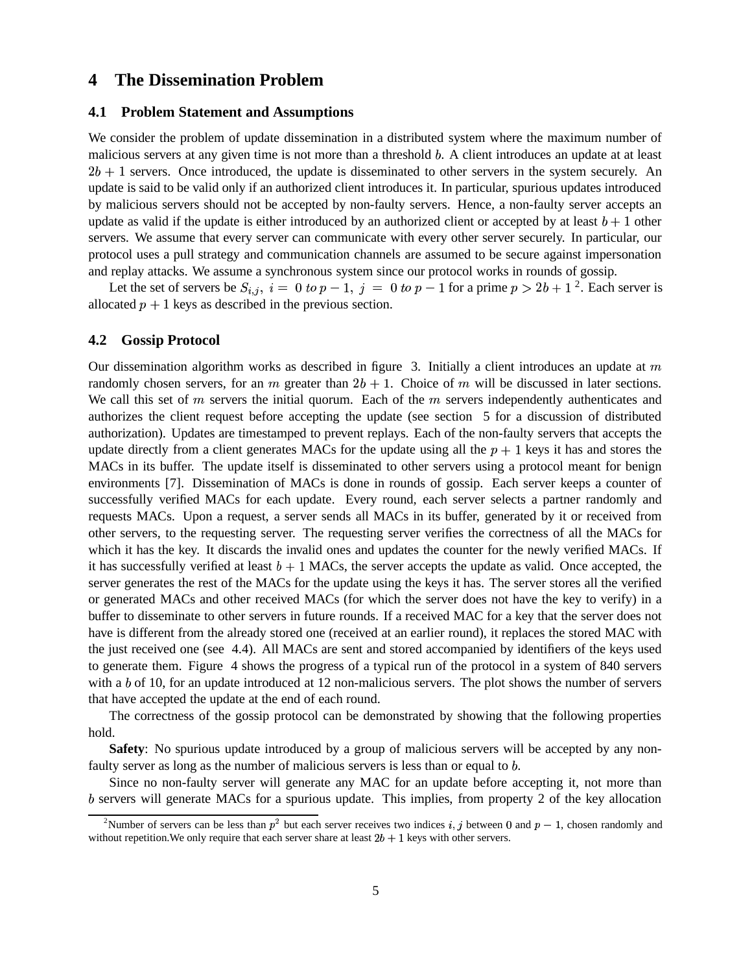## **4 The Dissemination Problem**

#### **4.1 Problem Statement and Assumptions**

We consider the problem of update dissemination in a distributed system where the maximum number of malicious servers at any given time is not more than a threshold  $b$ . A client introduces an update at at least  $2b + 1$  servers. Once introduced, the update is disseminated to other servers in the system securely. An update is said to be valid only if an authorized client introduces it. In particular, spurious updates introduced by malicious servers should not be accepted by non-faulty servers. Hence, a non-faulty server accepts an update as valid if the update is either introduced by an authorized client or accepted by at least  $b + 1$  other servers. We assume that every server can communicate with every other server securely. In particular, our protocol uses a pull strategy and communication channels are assumed to be secure against impersonation and replay attacks. We assume a synchronous system since our protocol works in rounds of gossip.

Let the set of servers be  $S_{i,j}$ ,  $i = 0$  to  $p-1$ ,  $j = 0$  to  $p-1$  for a prime  $p > 2b + 1$ <sup>2</sup>. Each server is allocated  $p + 1$  keys as described in the previous section.

#### **4.2 Gossip Protocol**

Our dissemination algorithm works as described in figure 3. Initially a client introduces an update at  $m$ randomly chosen servers, for an  $m$  greater than  $2b + 1$ . Choice of  $m$  will be discussed in later sections. We call this set of  $m$  servers the initial quorum. Each of the  $m$  servers independently authenticates and authorizes the client request before accepting the update (see section 5 for a discussion of distributed authorization). Updates are timestamped to prevent replays. Each of the non-faulty servers that accepts the update directly from a client generates MACs for the update using all the  $p + 1$  keys it has and stores the MACs in its buffer. The update itself is disseminated to other servers using a protocol meant for benign environments [7]. Dissemination of MACs is done in rounds of gossip. Each server keeps a counter of successfully verified MACs for each update. Every round, each server selects a partner randomly and requests MACs. Upon a request, a server sends all MACs in its buffer, generated by it or received from other servers, to the requesting server. The requesting server verifies the correctness of all the MACs for which it has the key. It discards the invalid ones and updates the counter for the newly verified MACs. If it has successfully verified at least  $b + 1$  MACs, the server accepts the update as valid. Once accepted, the server generates the rest of the MACs for the update using the keys it has. The server stores all the verified or generated MACs and other received MACs (for which the server does not have the key to verify) in a buffer to disseminate to other servers in future rounds. If a received MAC for a key that the server does not have is different from the already stored one (received at an earlier round), it replaces the stored MAC with the just received one (see 4.4). All MACs are sent and stored accompanied by identifiers of the keys used to generate them. Figure 4 shows the progress of a typical run of the protocol in a system of 840 servers with a  $b$  of 10, for an update introduced at 12 non-malicious servers. The plot shows the number of servers that have accepted the update at the end of each round.

The correctness of the gossip protocol can be demonstrated by showing that the following properties hold.

**Safety**: No spurious update introduced by a group of malicious servers will be accepted by any nonfaulty server as long as the number of malicious servers is less than or equal to  $b$ .

Since no non-faulty server will generate any MAC for an update before accepting it, not more than servers will generate MACs for a spurious update. This implies, from property 2 of the key allocation

<sup>&</sup>lt;sup>2</sup>Number of servers can be less than  $p^2$  but each server receives two indices i, j between 0 and  $p-1$ , chosen randomly and without repetition. We only require that each server share at least  $2b + 1$  keys with other servers.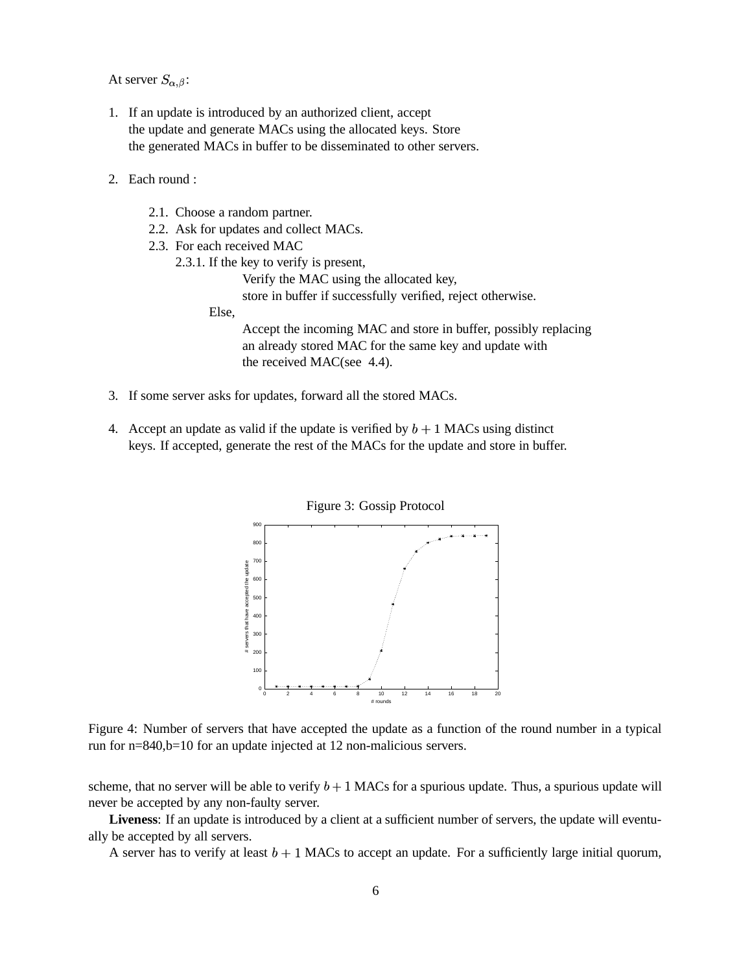At server  $S_{\alpha,\beta}$ :

- 1. If an update is introduced by an authorized client, accept the update and generate MACs using the allocated keys. Store the generated MACs in buffer to be disseminated to other servers.
- 2. Each round :
	- 2.1. Choose a random partner.
	- 2.2. Ask for updates and collect MACs.
	- 2.3. For each received MAC
		- 2.3.1. If the key to verify is present,

Verify the MAC using the allocated key,

store in buffer if successfully verified, reject otherwise.

Else,

Accept the incoming MAC and store in buffer, possibly replacing an already stored MAC for the same key and update with the received MAC(see 4.4).

- 3. If some server asks for updates, forward all the stored MACs.
- 4. Accept an update as valid if the update is verified by  $b + 1$  MACs using distinct keys. If accepted, generate the rest of the MACs for the update and store in buffer.



Figure 4: Number of servers that have accepted the update as a function of the round number in a typical run for n=840,b=10 for an update injected at 12 non-malicious servers.

scheme, that no server will be able to verify  $b + 1$  MACs for a spurious update. Thus, a spurious update will never be accepted by any non-faulty server.

**Liveness**: If an update is introduced by a client at a sufficient number of servers, the update will eventually be accepted by all servers.

A server has to verify at least  $b + 1$  MACs to accept an update. For a sufficiently large initial quorum,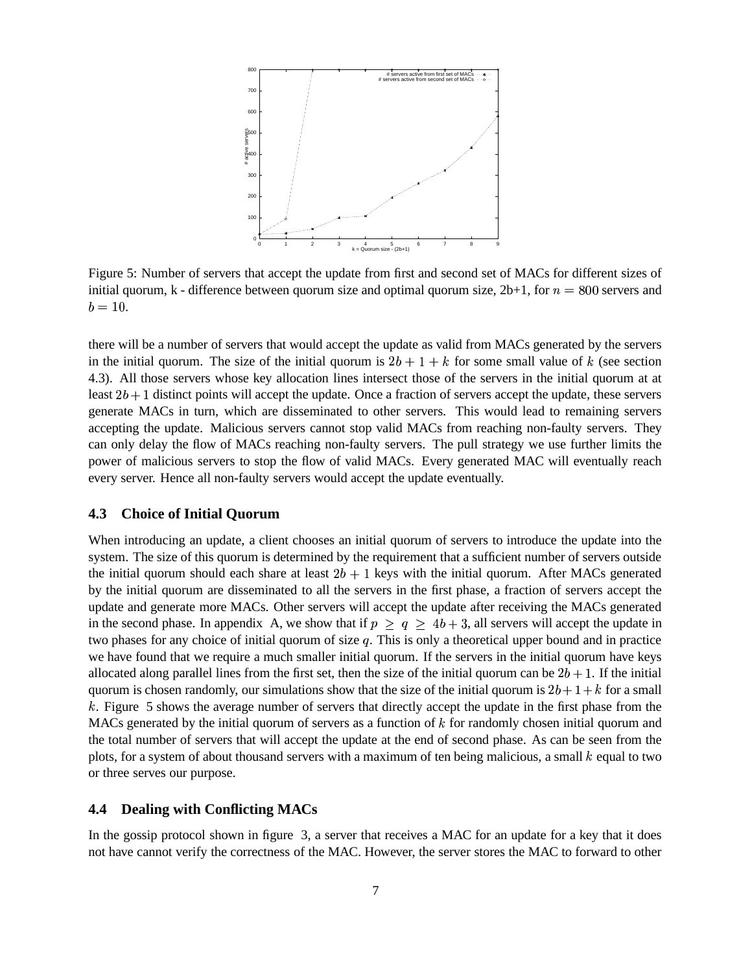

Figure 5: Number of servers that accept the update from first and second set of MACs for different sizes of initial quorum, k - difference between quorum size and optimal quorum size,  $2b+1$ , for  $n = 800$  servers and  $b = 10.$ 

there will be a number of servers that would accept the update as valid from MACs generated by the servers in the initial quorum. The size of the initial quorum is  $2b + 1 + k$  for some small value of k (see section 4.3). All those servers whose key allocation lines intersect those of the servers in the initial quorum at at least  $2b + 1$  distinct points will accept the update. Once a fraction of servers accept the update, these servers generate MACs in turn, which are disseminated to other servers. This would lead to remaining servers accepting the update. Malicious servers cannot stop valid MACs from reaching non-faulty servers. They can only delay the flow of MACs reaching non-faulty servers. The pull strategy we use further limits the power of malicious servers to stop the flow of valid MACs. Every generated MAC will eventually reach every server. Hence all non-faulty servers would accept the update eventually.

### **4.3 Choice of Initial Quorum**

When introducing an update, a client chooses an initial quorum of servers to introduce the update into the system. The size of this quorum is determined by the requirement that a sufficient number of servers outside the initial quorum should each share at least  $2b + 1$  keys with the initial quorum. After MACs generated by the initial quorum are disseminated to all the servers in the first phase, a fraction of servers accept the update and generate more MACs. Other servers will accept the update after receiving the MACs generated in the second phase. In appendix A, we show that if  $p \ge q \ge 4b+3$ , all servers will accept the update in two phases for any choice of initial quorum of size  $q$ . This is only a theoretical upper bound and in practice we have found that we require a much smaller initial quorum. If the servers in the initial quorum have keys allocated along parallel lines from the first set, then the size of the initial quorum can be  $2b + 1$ . If the initial quorum is chosen randomly, our simulations show that the size of the initial quorum is  $2b + 1 + k$  for a small k. Figure 5 shows the average number of servers that directly accept the update in the first phase from the MACs generated by the initial quorum of servers as a function of  $k$  for randomly chosen initial quorum and the total number of servers that will accept the update at the end of second phase. As can be seen from the plots, for a system of about thousand servers with a maximum of ten being malicious, a small  $k$  equal to two or three serves our purpose.

### **4.4 Dealing with Conflicting MACs**

In the gossip protocol shown in figure 3, a server that receives a MAC for an update for a key that it does not have cannot verify the correctness of the MAC. However, the server stores the MAC to forward to other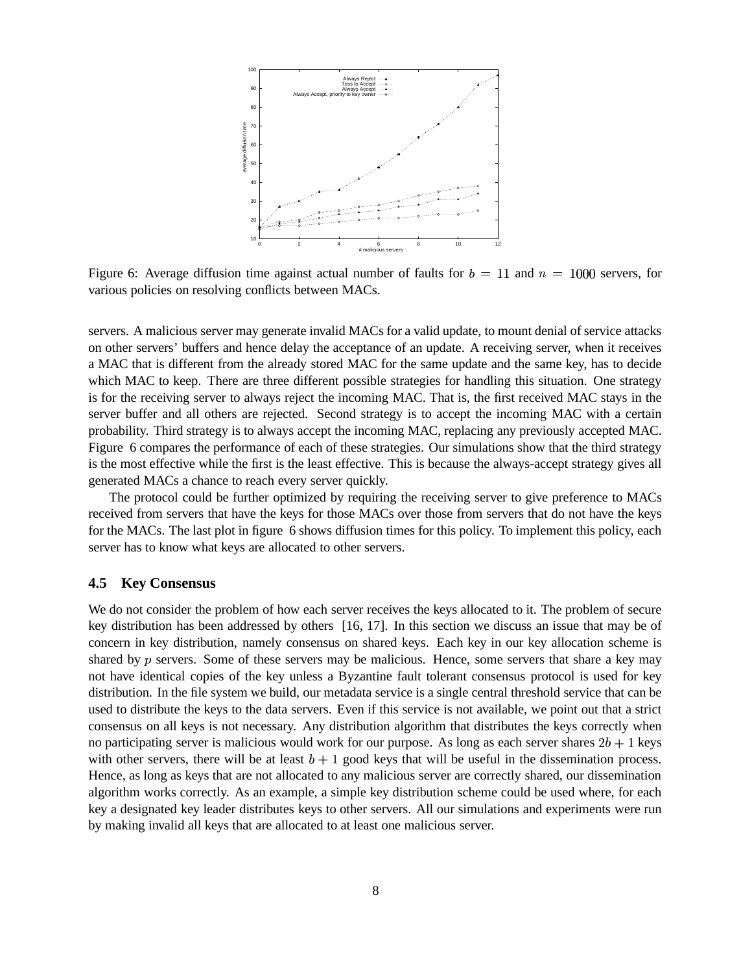

Figure 6: Average diffusion time against actual number of faults for  $b = 11$  and  $n = 1000$  servers, for various policies on resolving conflicts between MACs.

servers. A malicious server may generate invalid MACs for a valid update, to mount denial of service attacks on other servers' buffers and hence delay the acceptance of an update. A receiving server, when it receives a MAC that is different from the already stored MAC for the same update and the same key, has to decide which MAC to keep. There are three different possible strategies for handling this situation. One strategy is for the receiving server to always reject the incoming MAC. That is, the first received MAC stays in the server buffer and all others are rejected. Second strategy is to accept the incoming MAC with a certain probability. Third strategy is to always accept the incoming MAC, replacing any previously accepted MAC. Figure 6 compares the performance of each of these strategies. Our simulations show that the third strategy is the most effective while the first is the least effective. This is because the always-accept strategy gives all generated MACs a chance to reach every server quickly.

The protocol could be further optimized by requiring the receiving server to give preference to MACs received from servers that have the keys for those MACs over those from servers that do not have the keys for the MACs. The last plot in figure 6 shows diffusion times for this policy. To implement this policy, each server has to know what keys are allocated to other servers.

#### **4.5 Key Consensus**

We do not consider the problem of how each server receives the keys allocated to it. The problem of secure key distribution has been addressed by others [16, 17]. In this section we discuss an issue that may be of concern in key distribution, namely consensus on shared keys. Each key in our key allocation scheme is shared by  $p$  servers. Some of these servers may be malicious. Hence, some servers that share a key may not have identical copies of the key unless a Byzantine fault tolerant consensus protocol is used for key distribution. In the file system we build, our metadata service is a single central threshold service that can be used to distribute the keys to the data servers. Even if this service is not available, we point out that a strict consensus on all keys is not necessary. Any distribution algorithm that distributes the keys correctly when no participating server is malicious would work for our purpose. As long as each server shares  $2b + 1$  keys with other servers, there will be at least  $b + 1$  good keys that will be useful in the dissemination process. Hence, as long as keys that are not allocated to any malicious server are correctly shared, our dissemination algorithm works correctly. As an example, a simple key distribution scheme could be used where, for each key a designated key leader distributes keys to other servers. All our simulations and experiments were run by making invalid all keys that are allocated to at least one malicious server.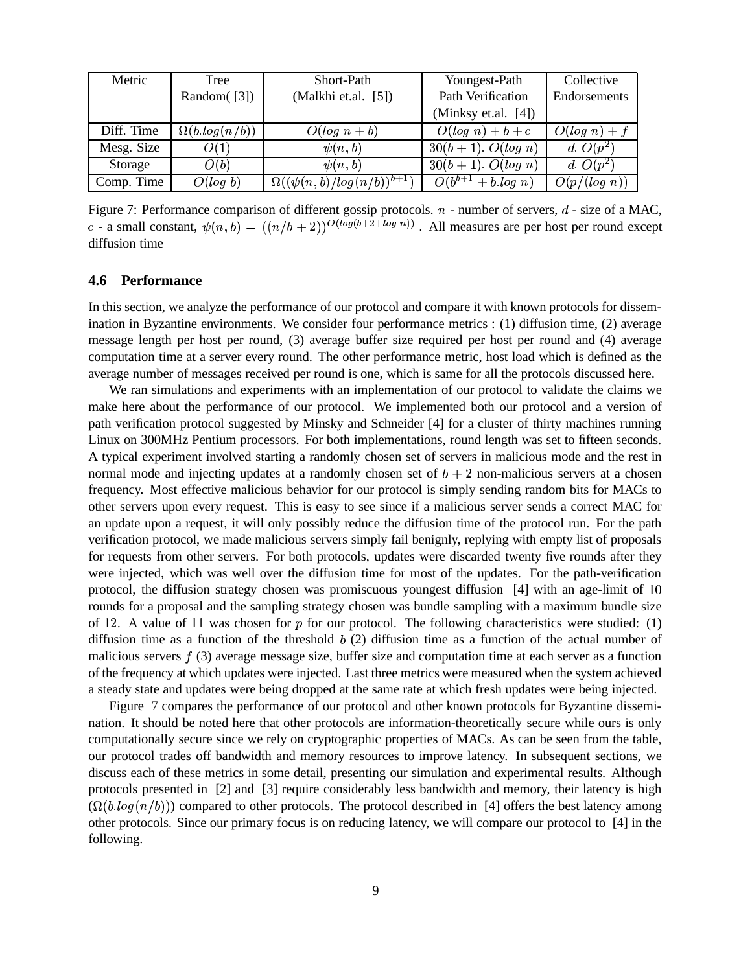| Metric     | Tree                 | Short-Path                                      | Youngest-Path                     | Collective      |
|------------|----------------------|-------------------------------------------------|-----------------------------------|-----------------|
|            | Random $([3])$       | (Malkhi et.al. [5])                             | Path Verification                 | Endorsements    |
|            |                      |                                                 | (Minksy et.al. [4])               |                 |
| Diff. Time | $\Omega(b.log(n/b))$ | $O(log n + b)$                                  | $O(log n) + b + c$                | $O(log n) + f$  |
| Mesg. Size | O(1)                 | $\psi(n,b)$                                     | $\overline{30(b+1)}$ . $O(log n)$ | d. $O(p^2)$     |
| Storage    | O(b)                 | $\psi(n,b)$                                     | $30(b+1)$ . $O(log n)$            | d. $O(p^2)$     |
| Comp. Time | O(log b)             | $\Omega((\psi(n,b)/log(n/b))^{\overline{b+1}})$ | $\overline{O(b^{b+1}+b\log n)}$   | $O(p/(\log n))$ |

Figure 7: Performance comparison of different gossip protocols.  $n$  - number of servers,  $d$  - size of a MAC, c - a small constant,  $\psi(n, b) = ((n/b + 2))^{O(log(b+2+log n))}$ . All measures are per host per round except diffusion time

#### **4.6 Performance**

In this section, we analyze the performance of our protocol and compare it with known protocols for dissemination in Byzantine environments. We consider four performance metrics : (1) diffusion time, (2) average message length per host per round, (3) average buffer size required per host per round and (4) average computation time at a server every round. The other performance metric, host load which is defined as the average number of messages received per round is one, which is same for all the protocols discussed here.

We ran simulations and experiments with an implementation of our protocol to validate the claims we make here about the performance of our protocol. We implemented both our protocol and a version of path verification protocol suggested by Minsky and Schneider [4] for a cluster of thirty machines running Linux on 300MHz Pentium processors. For both implementations, round length was set to fifteen seconds. A typical experiment involved starting a randomly chosen set of servers in malicious mode and the rest in normal mode and injecting updates at a randomly chosen set of  $b + 2$  non-malicious servers at a chosen frequency. Most effective malicious behavior for our protocol is simply sending random bits for MACs to other servers upon every request. This is easy to see since if a malicious server sends a correct MAC for an update upon a request, it will only possibly reduce the diffusion time of the protocol run. For the path verification protocol, we made malicious servers simply fail benignly, replying with empty list of proposals for requests from other servers. For both protocols, updates were discarded twenty five rounds after they were injected, which was well over the diffusion time for most of the updates. For the path-verification protocol, the diffusion strategy chosen was promiscuous youngest diffusion [4] with an age-limit of 10 rounds for a proposal and the sampling strategy chosen was bundle sampling with a maximum bundle size of 12. A value of 11 was chosen for  $p$  for our protocol. The following characteristics were studied: (1) diffusion time as a function of the threshold  $b(2)$  diffusion time as a function of the actual number of malicious servers  $f(3)$  average message size, buffer size and computation time at each server as a function of the frequency at which updates were injected. Last three metrics were measured when the system achieved a steady state and updates were being dropped at the same rate at which fresh updates were being injected.

Figure 7 compares the performance of our protocol and other known protocols for Byzantine dissemination. It should be noted here that other protocols are information-theoretically secure while ours is only computationally secure since we rely on cryptographic properties of MACs. As can be seen from the table, our protocol trades off bandwidth and memory resources to improve latency. In subsequent sections, we discuss each of these metrics in some detail, presenting our simulation and experimental results. Although protocols presented in [2] and [3] require considerably less bandwidth and memory, their latency is high  $(\Omega(b.log(n/b)))$  compared to other protocols. The protocol described in [4] offers the best latency among other protocols. Since our primary focus is on reducing latency, we will compare our protocol to [4] in the following.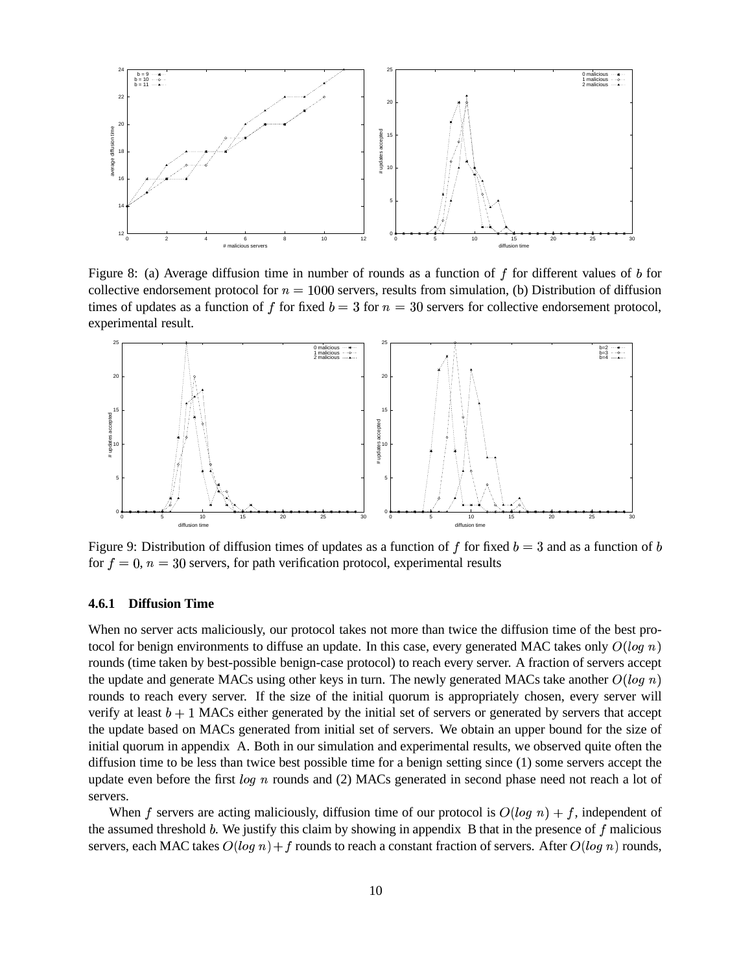

Figure 8: (a) Average diffusion time in number of rounds as a function of  $f$  for different values of  $b$  for collective endorsement protocol for  $n = 1000$  servers, results from simulation, (b) Distribution of diffusion times of updates as a function of f for fixed  $b=3$  for  $n=30$  servers for collective endorsement protocol, experimental result.



Figure 9: Distribution of diffusion times of updates as a function of f for fixed  $b = 3$  and as a function of b for  $f = 0$ ,  $n = 30$  servers, for path verification protocol, experimental results

### **4.6.1 Diffusion Time**

When no server acts maliciously, our protocol takes not more than twice the diffusion time of the best protocol for benign environments to diffuse an update. In this case, every generated MAC takes only  $O(log n)$ rounds (time taken by best-possible benign-case protocol) to reach every server. A fraction of servers accept the update and generate MACs using other keys in turn. The newly generated MACs take another  $O(log n)$ rounds to reach every server. If the size of the initial quorum is appropriately chosen, every server will verify at least  $b + 1$  MACs either generated by the initial set of servers or generated by servers that accept the update based on MACs generated from initial set of servers. We obtain an upper bound for the size of initial quorum in appendix A. Both in our simulation and experimental results, we observed quite often the diffusion time to be less than twice best possible time for a benign setting since (1) some servers accept the update even before the first  $log n$  rounds and (2) MACs generated in second phase need not reach a lot of servers.

When f servers are acting maliciously, diffusion time of our protocol is  $O(log n) + f$ , independent of the assumed threshold  $b$ . We justify this claim by showing in appendix  $B$  that in the presence of  $f$  malicious servers, each MAC takes  $O(log n) + f$  rounds to reach a constant fraction of servers. After  $O(log n)$  rounds,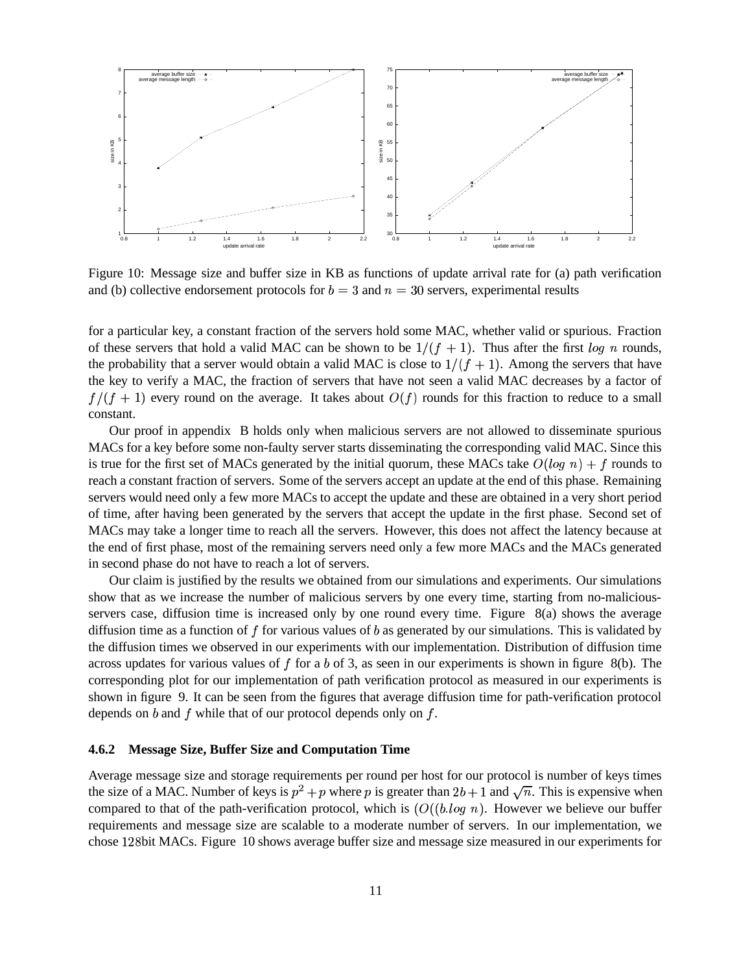

Figure 10: Message size and buffer size in KB as functions of update arrival rate for (a) path verification and (b) collective endorsement protocols for  $b = 3$  and  $n = 30$  servers, experimental results

for a particular key, a constant fraction of the servers hold some MAC, whether valid or spurious. Fraction of these servers that hold a valid MAC can be shown to be  $1/(f + 1)$ . Thus after the first log n rounds, the probability that a server would obtain a valid MAC is close to  $1/(f + 1)$ . Among the servers that have the key to verify a MAC, the fraction of servers that have not seen a valid MAC decreases by a factor of  $f/(f + 1)$  every round on the average. It takes about  $O(f)$  rounds for this fraction to reduce to a small constant.

Our proof in appendix B holds only when malicious servers are not allowed to disseminate spurious MACs for a key before some non-faulty server starts disseminating the corresponding valid MAC. Since this is true for the first set of MACs generated by the initial quorum, these MACs take  $O(log n) + f$  rounds to reach a constant fraction of servers. Some of the servers accept an update at the end of this phase. Remaining servers would need only a few more MACs to accept the update and these are obtained in a very short period of time, after having been generated by the servers that accept the update in the first phase. Second set of MACs may take a longer time to reach all the servers. However, this does not affect the latency because at the end of first phase, most of the remaining servers need only a few more MACs and the MACs generated in second phase do not have to reach a lot of servers.

Our claim is justified by the results we obtained from our simulations and experiments. Our simulations show that as we increase the number of malicious servers by one every time, starting from no-maliciousservers case, diffusion time is increased only by one round every time. Figure 8(a) shows the average diffusion time as a function of  $f$  for various values of  $b$  as generated by our simulations. This is validated by the diffusion times we observed in our experiments with our implementation. Distribution of diffusion time across updates for various values of  $f$  for a  $b$  of 3, as seen in our experiments is shown in figure 8(b). The corresponding plot for our implementation of path verification protocol as measured in our experiments is shown in figure 9. It can be seen from the figures that average diffusion time for path-verification protocol depends on  $b$  and  $f$  while that of our protocol depends only on  $f$ .

#### **4.6.2 Message Size, Buffer Size and Computation Time**

Average message size and storage requirements per round per host for our protocol is number of keys times the size of a MAC. Number of keys is  $p^2 + p$  where p is greater than  $2b + 1$  and  $\sqrt{n}$ . This is expensive when compared to that of the path-verification protocol, which is  $(O((b.log n))$ . However we believe our buffer requirements and message size are scalable to a moderate number of servers. In our implementation, we chose 128bit MACs. Figure 10 shows average buffer size and message size measured in our experiments for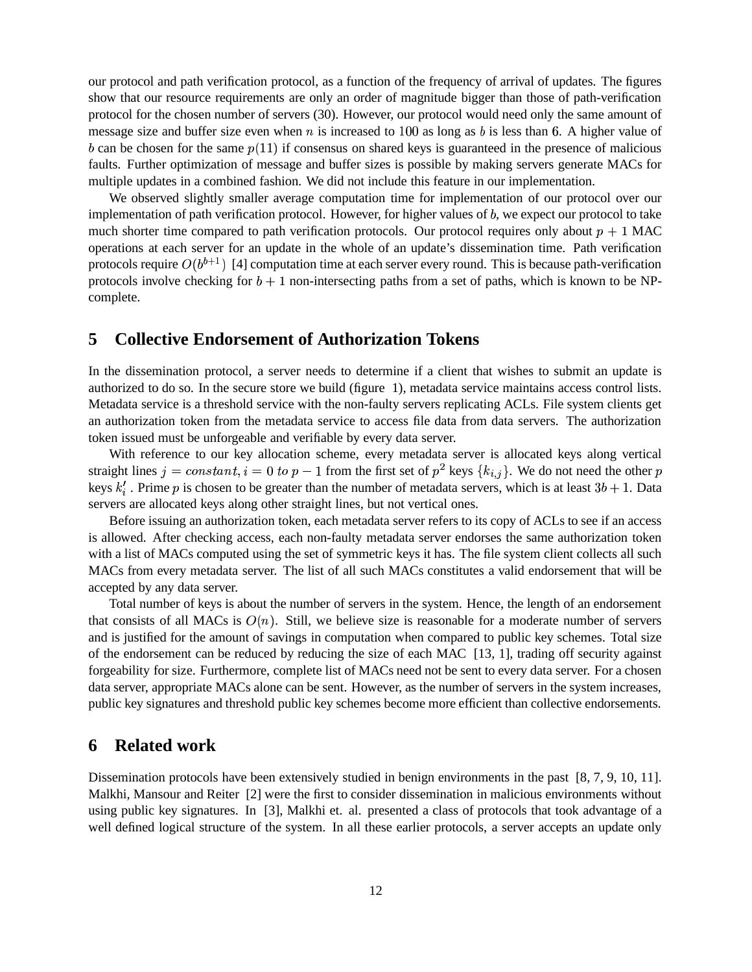our protocol and path verification protocol, as a function of the frequency of arrival of updates. The figures show that our resource requirements are only an order of magnitude bigger than those of path-verification protocol for the chosen number of servers (30). However, our protocol would need only the same amount of message size and buffer size even when  $n$  is increased to 100 as long as  $b$  is less than 6. A higher value of b can be chosen for the same  $p(11)$  if consensus on shared keys is guaranteed in the presence of malicious faults. Further optimization of message and buffer sizes is possible by making servers generate MACs for multiple updates in a combined fashion. We did not include this feature in our implementation.

We observed slightly smaller average computation time for implementation of our protocol over our implementation of path verification protocol. However, for higher values of  $b$ , we expect our protocol to take much shorter time compared to path verification protocols. Our protocol requires only about  $p + 1$  MAC operations at each server for an update in the whole of an update's dissemination time. Path verification protocols require  $O(b^{b+1})$  [4] computation time at each server every round. This is because path-verification protocols involve checking for  $b + 1$  non-intersecting paths from a set of paths, which is known to be NPcomplete.

# **5 Collective Endorsement of Authorization Tokens**

In the dissemination protocol, a server needs to determine if a client that wishes to submit an update is authorized to do so. In the secure store we build (figure 1), metadata service maintains access control lists. Metadata service is a threshold service with the non-faulty servers replicating ACLs. File system clients get an authorization token from the metadata service to access file data from data servers. The authorization token issued must be unforgeable and verifiable by every data server.

With reference to our key allocation scheme, every metadata server is allocated keys along vertical straight lines  $j = constant, i = 0 \to p - 1$  from the first set of  $p^2$  keys  $\{k_{i,j}\}\$ .  $\{a_i\}$ . We do not need the other p keys  $k'_i$ . Prime p is chosen to be greater than the number of metadata servers, which is at least  $3b + 1$ . Data servers are allocated keys along other straight lines, but not vertical ones.

Before issuing an authorization token, each metadata server refers to its copy of ACLs to see if an access is allowed. After checking access, each non-faulty metadata server endorses the same authorization token with a list of MACs computed using the set of symmetric keys it has. The file system client collects all such MACs from every metadata server. The list of all such MACs constitutes a valid endorsement that will be accepted by any data server.

Total number of keys is about the number of servers in the system. Hence, the length of an endorsement that consists of all MACs is  $O(n)$ . Still, we believe size is reasonable for a moderate number of servers and is justified for the amount of savings in computation when compared to public key schemes. Total size of the endorsement can be reduced by reducing the size of each MAC [13, 1], trading off security against forgeability for size. Furthermore, complete list of MACs need not be sent to every data server. For a chosen data server, appropriate MACs alone can be sent. However, as the number of servers in the system increases, public key signatures and threshold public key schemes become more efficient than collective endorsements.

## **6 Related work**

Dissemination protocols have been extensively studied in benign environments in the past [8, 7, 9, 10, 11]. Malkhi, Mansour and Reiter [2] were the first to consider dissemination in malicious environments without using public key signatures. In [3], Malkhi et. al. presented a class of protocols that took advantage of a well defined logical structure of the system. In all these earlier protocols, a server accepts an update only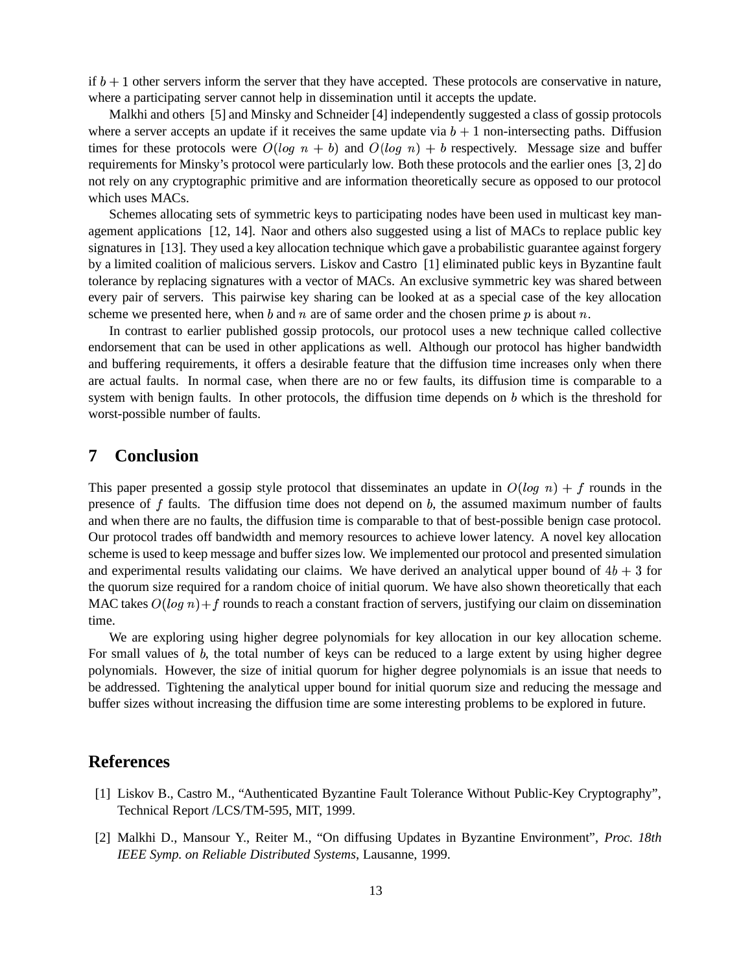if  $b + 1$  other servers inform the server that they have accepted. These protocols are conservative in nature, where a participating server cannot help in dissemination until it accepts the update.

Malkhi and others [5] and Minsky and Schneider [4] independently suggested a class of gossip protocols where a server accepts an update if it receives the same update via  $b + 1$  non-intersecting paths. Diffusion times for these protocols were  $O(log n + b)$  and  $O(log n) + b$  respectively. Message size and buffer requirements for Minsky's protocol were particularly low. Both these protocols and the earlier ones [3, 2] do not rely on any cryptographic primitive and are information theoretically secure as opposed to our protocol which uses MACs.

Schemes allocating sets of symmetric keys to participating nodes have been used in multicast key management applications [12, 14]. Naor and others also suggested using a list of MACs to replace public key signatures in [13]. They used a key allocation technique which gave a probabilistic guarantee against forgery by a limited coalition of malicious servers. Liskov and Castro [1] eliminated public keys in Byzantine fault tolerance by replacing signatures with a vector of MACs. An exclusive symmetric key was shared between every pair of servers. This pairwise key sharing can be looked at as a special case of the key allocation scheme we presented here, when  $b$  and  $n$  are of same order and the chosen prime  $p$  is about  $n$ .

In contrast to earlier published gossip protocols, our protocol uses a new technique called collective endorsement that can be used in other applications as well. Although our protocol has higher bandwidth and buffering requirements, it offers a desirable feature that the diffusion time increases only when there are actual faults. In normal case, when there are no or few faults, its diffusion time is comparable to a system with benign faults. In other protocols, the diffusion time depends on  $b$  which is the threshold for worst-possible number of faults.

## **7 Conclusion**

This paper presented a gossip style protocol that disseminates an update in  $O(log n) + f$  rounds in the presence of  $f$  faults. The diffusion time does not depend on  $b$ , the assumed maximum number of faults and when there are no faults, the diffusion time is comparable to that of best-possible benign case protocol. Our protocol trades off bandwidth and memory resources to achieve lower latency. A novel key allocation scheme is used to keep message and buffer sizes low. We implemented our protocol and presented simulation and experimental results validating our claims. We have derived an analytical upper bound of  $4b + 3$  for the quorum size required for a random choice of initial quorum. We have also shown theoretically that each MAC takes  $O(log n) + f$  rounds to reach a constant fraction of servers, justifying our claim on dissemination time.

We are exploring using higher degree polynomials for key allocation in our key allocation scheme. For small values of  $b$ , the total number of keys can be reduced to a large extent by using higher degree polynomials. However, the size of initial quorum for higher degree polynomials is an issue that needs to be addressed. Tightening the analytical upper bound for initial quorum size and reducing the message and buffer sizes without increasing the diffusion time are some interesting problems to be explored in future.

## **References**

- [1] Liskov B., Castro M., "Authenticated Byzantine Fault Tolerance Without Public-Key Cryptography", Technical Report /LCS/TM-595, MIT, 1999.
- [2] Malkhi D., Mansour Y., Reiter M., "On diffusing Updates in Byzantine Environment", *Proc. 18th IEEE Symp. on Reliable Distributed Systems*, Lausanne, 1999.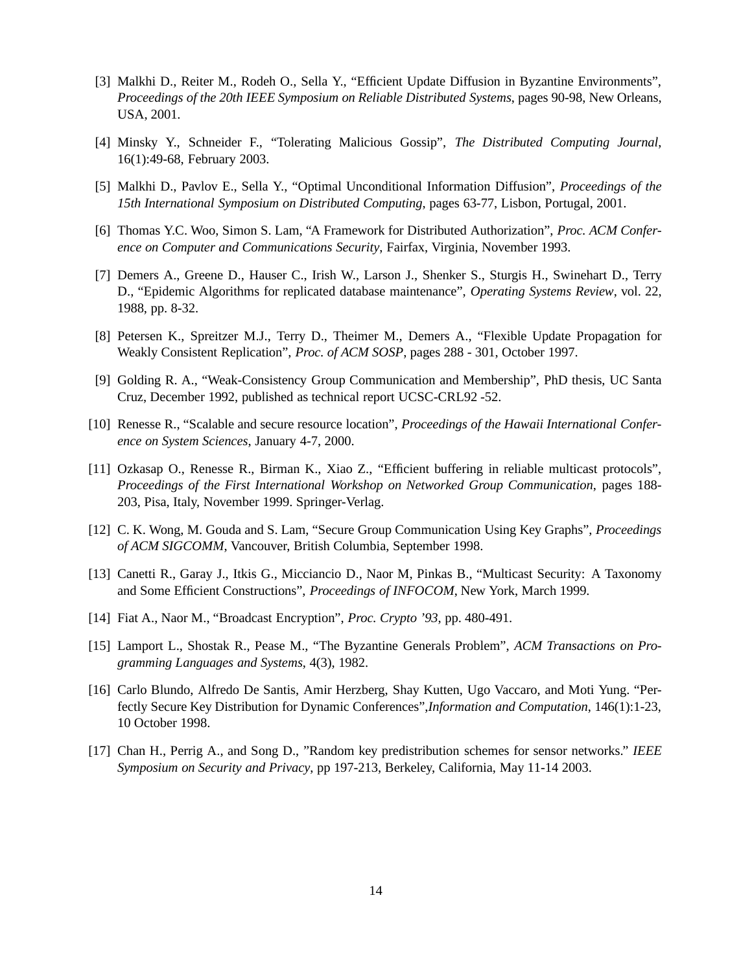- [3] Malkhi D., Reiter M., Rodeh O., Sella Y., "Efficient Update Diffusion in Byzantine Environments", *Proceedings of the 20th IEEE Symposium on Reliable Distributed Systems*, pages 90-98, New Orleans, USA, 2001.
- [4] Minsky Y., Schneider F., "Tolerating Malicious Gossip", *The Distributed Computing Journal*, 16(1):49-68, February 2003.
- [5] Malkhi D., Pavlov E., Sella Y., "Optimal Unconditional Information Diffusion", *Proceedings of the 15th International Symposium on Distributed Computing*, pages 63-77, Lisbon, Portugal, 2001.
- [6] Thomas Y.C. Woo, Simon S. Lam, "A Framework for Distributed Authorization", *Proc. ACM Conference on Computer and Communications Security*, Fairfax, Virginia, November 1993.
- [7] Demers A., Greene D., Hauser C., Irish W., Larson J., Shenker S., Sturgis H., Swinehart D., Terry D., "Epidemic Algorithms for replicated database maintenance", *Operating Systems Review*, vol. 22, 1988, pp. 8-32.
- [8] Petersen K., Spreitzer M.J., Terry D., Theimer M., Demers A., "Flexible Update Propagation for Weakly Consistent Replication", *Proc. of ACM SOSP*, pages 288 - 301, October 1997.
- [9] Golding R. A., "Weak-Consistency Group Communication and Membership", PhD thesis, UC Santa Cruz, December 1992, published as technical report UCSC-CRL92 -52.
- [10] Renesse R., "Scalable and secure resource location", *Proceedings of the Hawaii International Conference on System Sciences*, January 4-7, 2000.
- [11] Ozkasap O., Renesse R., Birman K., Xiao Z., "Efficient buffering in reliable multicast protocols", *Proceedings of the First International Workshop on Networked Group Communication*, pages 188- 203, Pisa, Italy, November 1999. Springer-Verlag.
- [12] C. K. Wong, M. Gouda and S. Lam, "Secure Group Communication Using Key Graphs", *Proceedings of ACM SIGCOMM*, Vancouver, British Columbia, September 1998.
- [13] Canetti R., Garay J., Itkis G., Micciancio D., Naor M, Pinkas B., "Multicast Security: A Taxonomy and Some Efficient Constructions", *Proceedings of INFOCOM*, New York, March 1999.
- [14] Fiat A., Naor M., "Broadcast Encryption", *Proc. Crypto '93*, pp. 480-491.
- [15] Lamport L., Shostak R., Pease M., "The Byzantine Generals Problem", *ACM Transactions on Programming Languages and Systems*, 4(3), 1982.
- [16] Carlo Blundo, Alfredo De Santis, Amir Herzberg, Shay Kutten, Ugo Vaccaro, and Moti Yung. "Perfectly Secure Key Distribution for Dynamic Conferences",*Information and Computation*, 146(1):1-23, 10 October 1998.
- [17] Chan H., Perrig A., and Song D., "Random key predistribution schemes for sensor networks." *IEEE Symposium on Security and Privacy*, pp 197-213, Berkeley, California, May 11-14 2003.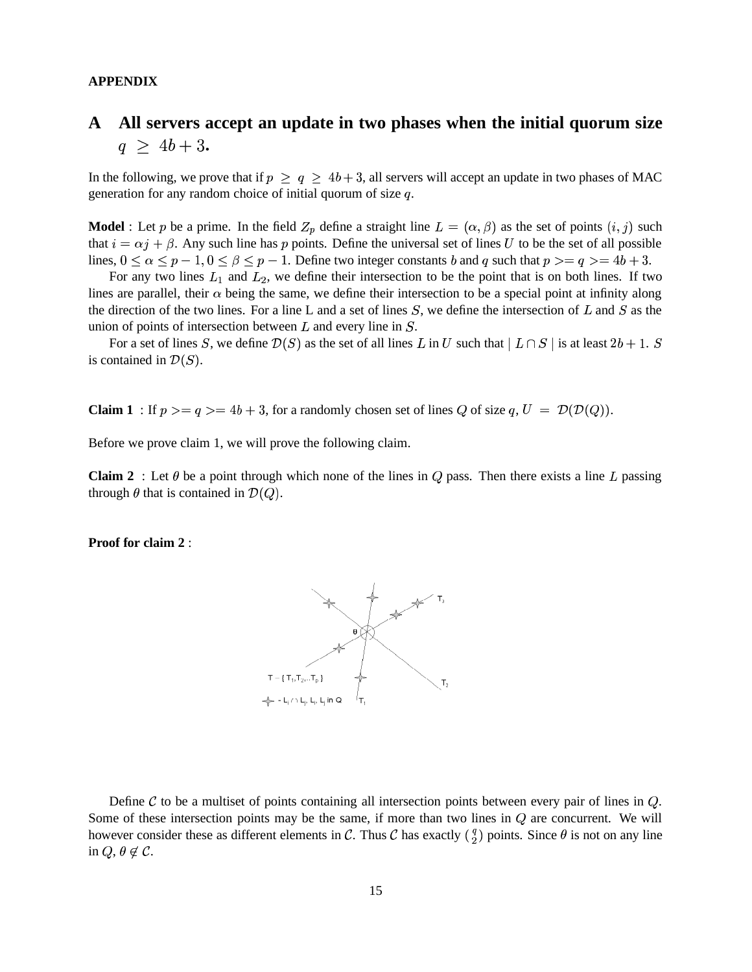#### **APPENDIX**

# **A All servers accept an update in two phases when the initial quorum size**  $q \geq 4b+3$ .

In the following, we prove that if  $p \ge q \ge 4b+3$ , all servers will accept an update in two phases of MAC generation for any random choice of initial quorum of size  $q$ .

**Model** : Let p be a prime. In the field  $Z_p$  define a straight line  $L = (\alpha, \beta)$  as the set of points  $(i, j)$  such that  $i = \alpha j + \beta$ . Any such line has p points. Define the universal set of lines U to be the set of all possible lines,  $0 \le \alpha \le p-1, 0 \le \beta \le p-1$ . Define two integer constants *b* and *q* such that  $p \ge -q 4b + 3$ .

For any two lines  $L_1$  and  $L_2$ , we define their intersection to be the point that is on both lines. If two lines are parallel, their  $\alpha$  being the same, we define their intersection to be a special point at infinity along the direction of the two lines. For a line L and a set of lines  $S$ , we define the intersection of L and S as the union of points of intersection between  $L$  and every line in  $S$ .

For a set of lines S, we define  $\mathcal{D}(S)$  as the set of all lines L in U such that  $\mid L \cap S \mid$  is at least  $2b+1$ .  $S$ is contained in  $\mathcal{D}(S)$ .

**Claim 1** : If  $p \geq q \geq 4b + 3$ , for a randomly chosen set of lines Q of size  $q, U = \mathcal{D}(\mathcal{D}(Q))$ .

Before we prove claim 1, we will prove the following claim.

**Claim 2** : Let  $\theta$  be a point through which none of the lines in  $Q$  pass. Then there exists a line L passing through  $\theta$  that is contained in  $\mathcal{D}(Q)$ .

**Proof for claim 2** :



Define  $\mathcal C$  to be a multiset of points containing all intersection points between every pair of lines in  $Q$ . Some of these intersection points may be the same, if more than two lines in  $Q$  are concurrent. We will however consider these as different elements in C. Thus C has exactly  $\binom{q}{2}$  points. Since  $\theta$  is not on any line in  $Q, \theta \notin \mathcal{C}$ .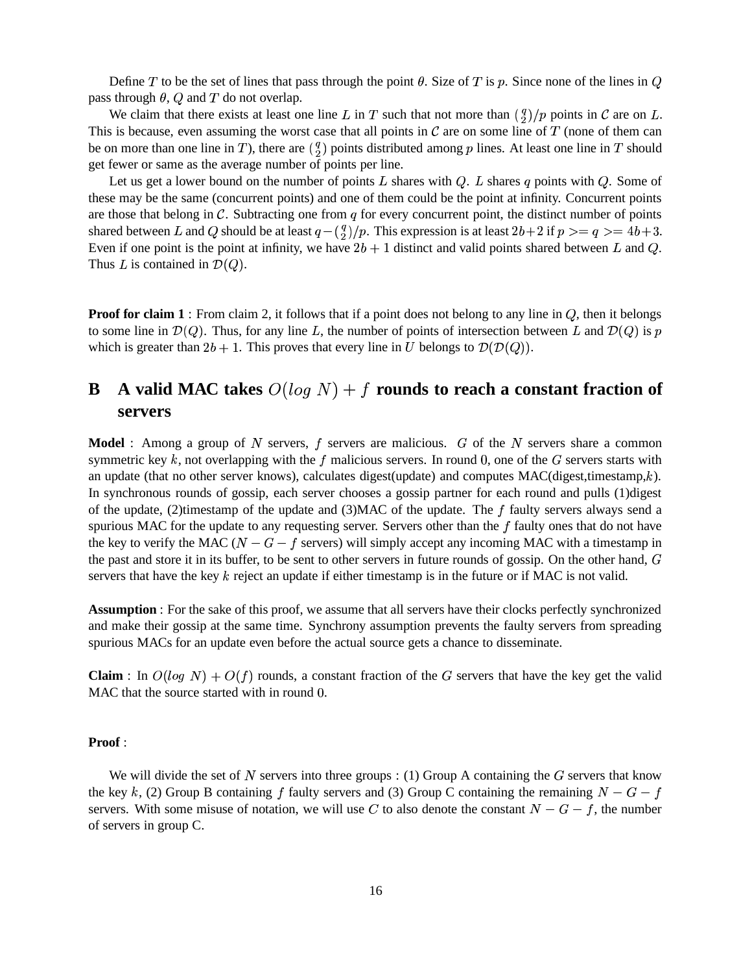Define T to be the set of lines that pass through the point  $\theta$ . Size of T is p. Since none of the lines in  $Q$ pass through  $\theta$ ,  $Q$  and  $T$  do not overlap.

We claim that there exists at least one line L in T such that not more than  $\binom{q}{2}/p$  points in C are on L. This is because, even assuming the worst case that all points in  $\mathcal C$  are on some line of  $T$  (none of them can be on more than one line in T), there are  $\binom{q}{2}$  points distributed among p lines. At least one line in T should get fewer or same as the average number of points per line.

Let us get a lower bound on the number of points L shares with  $Q$ . L shares q points with  $Q$ . Some of these may be the same (concurrent points) and one of them could be the point at infinity. Concurrent points are those that belong in  $\mathcal C$ . Subtracting one from  $q$  for every concurrent point, the distinct number of points shared between L and Q should be at least  $q - \binom{q}{2}/p$ . This expression is at least  $2b + 2$  if  $p > = q > = 4b + 3$ . Even if one point is the point at infinity, we have  $2b + 1$  distinct and valid points shared between L and Q. Thus L is contained in  $\mathcal{D}(Q)$ .

**Proof for claim 1** : From claim 2, it follows that if a point does not belong to any line in  $Q$ , then it belongs to some line in  $\mathcal{D}(Q)$ . Thus, for any line L, the number of points of intersection between L and  $\mathcal{D}(Q)$  is p which is greater than  $2b + 1$ . This proves that every line in U belongs to  $\mathcal{D}(\mathcal{D}(Q))$ .

# **B A valid MAC** takes  $O(log N) + f$  **rounds** to reach a constant fraction of **servers**

**Model** : Among a group of N servers, f servers are malicious. G of the N servers share a common symmetric key k, not overlapping with the f malicious servers. In round 0, one of the G servers starts with an update (that no other server knows), calculates digest(update) and computes  $MAC(digest, timestamp, k)$ . In synchronous rounds of gossip, each server chooses a gossip partner for each round and pulls (1)digest of the update, (2)timestamp of the update and  $(3)$ MAC of the update. The f faulty servers always send a spurious MAC for the update to any requesting server. Servers other than the  $f$  faulty ones that do not have the key to verify the MAC ( $N-G-f$  servers) will simply accept any incoming MAC with a timestamp in the past and store it in its buffer, to be sent to other servers in future rounds of gossip. On the other hand,  $G$ servers that have the key  $k$  reject an update if either timestamp is in the future or if MAC is not valid.

**Assumption** : For the sake of this proof, we assume that all servers have their clocks perfectly synchronized and make their gossip at the same time. Synchrony assumption prevents the faulty servers from spreading spurious MACs for an update even before the actual source gets a chance to disseminate.

**Claim** : In  $O(log N) + O(f)$  rounds, a constant fraction of the G servers that have the key get the valid  $MAC$  that the source started with in round  $0$ .

#### **Proof** :

We will divide the set of N servers into three groups : (1) Group A containing the  $G$  servers that know the key k, (2) Group B containing f faulty servers and (3) Group C containing the remaining  $N-G-f$ servers. With some misuse of notation, we will use C to also denote the constant  $N-G-f$ , the number of servers in group C.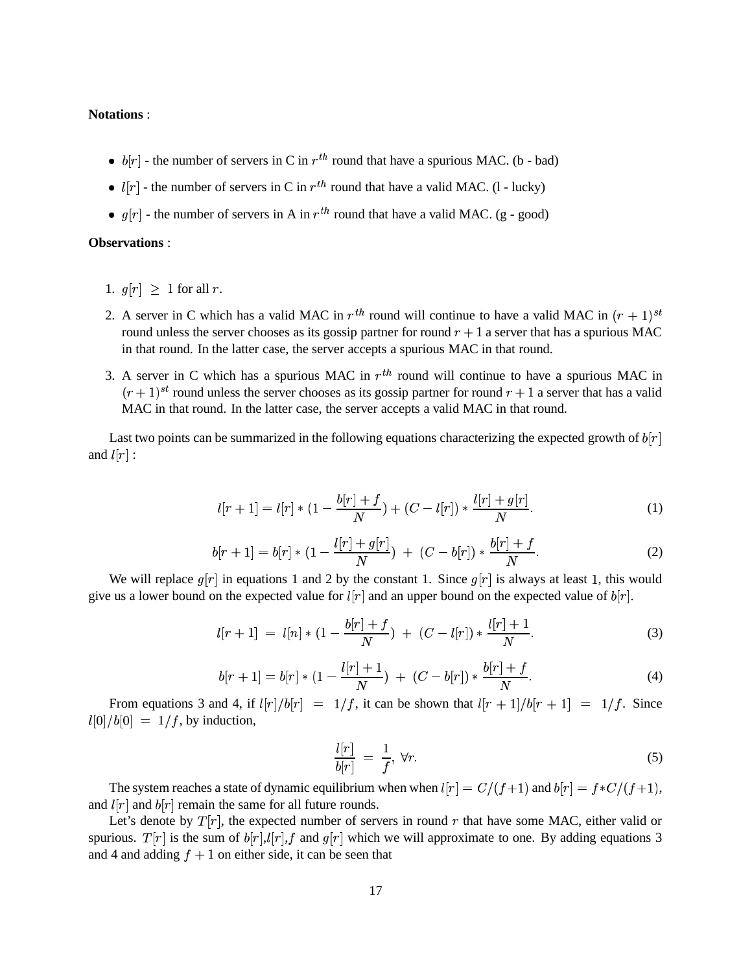### **Notations** :

- $b[r]$  the number of servers in C in  $r^{th}$  round that have a spurious MAC. (b bad)
- $l[r]$  the number of servers in C in  $r^{th}$  round that have a valid MAC. (1 lucky)
- $g[r]$  the number of servers in A in  $r^{th}$  round that have a valid MAC. (g good)

#### **Observations** :

- 1.  $q[r] > 1$  for all r.
- 2. A server in C which has a valid MAC in  $r^{th}$  round will continue to have a valid MAC in  $(r + 1)^{st}$ round unless the server chooses as its gossip partner for round  $r + 1$  a server that has a spurious MAC in that round. In the latter case, the server accepts a spurious MAC in that round.
- 3. A server in C which has a spurious MAC in  $r^{th}$  round will continue to have a spurious MAC in  $(r+1)^{st}$  round unless the server chooses as its gossip partner for round  $r+1$  a server that has a valid MAC in that round. In the latter case, the server accepts a valid MAC in that round.

Last two points can be summarized in the following equations characterizing the expected growth of  $b[r]$ and  $l[r]$  :

$$
l[r+1] = l[r] * (1 - \frac{b[r] + f}{N}) + (C - l[r]) * \frac{l[r] + g[r]}{N}.
$$
 (1)

$$
b[r+1] = b[r] * (1 - \frac{l[r] + g[r]}{N}) + (C - b[r]) * \frac{b[r] + f}{N}.
$$
 (2)

We will replace  $g[r]$  in equations 1 and 2 by the constant 1. Since  $g[r]$  is always at least 1, this would give us a lower bound on the expected value for  $l[r]$  and an upper bound on the expected value of  $b[r]$ .

$$
l[r+1] = l[n] * (1 - \frac{b[r] + f}{N}) + (C - l[r]) * \frac{l[r] + 1}{N}.
$$
 (3)

$$
b[r+1] = b[r] * (1 - \frac{l[r] + 1}{N}) + (C - b[r]) * \frac{b[r] + f}{N}.
$$
 (4)

From equations 3 and 4, if  $l[r]/b[r] = 1/f$ , it can be shown that  $l[r + 1]/b[r + 1] = 1/f$ . Since  $l[0]/b[0] = 1/f$ , by induction,

$$
\frac{l[r]}{b[r]} = \frac{1}{f}, \forall r. \tag{5}
$$

The system reaches a state of dynamic equilibrium when when  $l[r] = C/(f+1)$  and  $b[r] = f*C/(f+1)$ , and  $l[r]$  and  $b[r]$  remain the same for all future rounds.

Let's denote by  $T[r]$ , the expected number of servers in round  $r$  that have some MAC, either valid or spurious.  $T[r]$  is the sum of  $b[r], l[r], f$  and  $g[r]$  which we will approximate to one. By adding equations 3 and 4 and adding  $f + 1$  on either side, it can be seen that